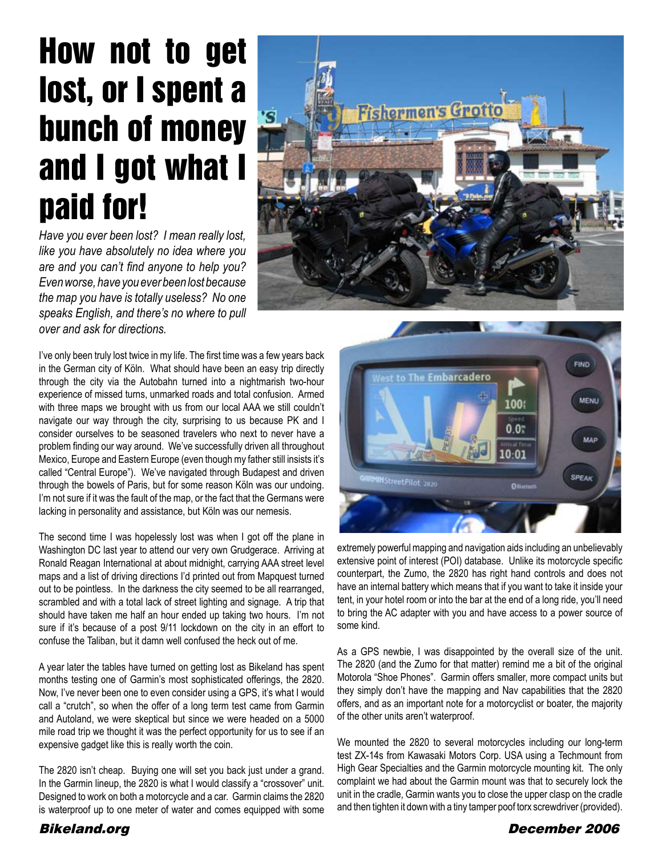# How not to get lost, or I spent a bunch of money and I got what I paid for!

*Have you ever been lost? I mean really lost, like you have absolutely no idea where you are and you can't find anyone to help you? Even worse, have you ever been lost because the map you have is totally useless? No one speaks English, and there's no where to pull over and ask for directions.*

I've only been truly lost twice in my life. The first time was a few years back in the German city of Köln. What should have been an easy trip directly through the city via the Autobahn turned into a nightmarish two-hour experience of missed turns, unmarked roads and total confusion. Armed with three maps we brought with us from our local AAA we still couldn't navigate our way through the city, surprising to us because PK and I consider ourselves to be seasoned travelers who next to never have a problem finding our way around. We've successfully driven all throughout Mexico, Europe and Eastern Europe (even though my father still insists it's called "Central Europe"). We've navigated through Budapest and driven through the bowels of Paris, but for some reason Köln was our undoing. I'm not sure if it was the fault of the map, or the fact that the Germans were lacking in personality and assistance, but Köln was our nemesis.

The second time I was hopelessly lost was when I got off the plane in Washington DC last year to attend our very own Grudgerace. Arriving at Ronald Reagan International at about midnight, carrying AAA street level maps and a list of driving directions I'd printed out from Mapquest turned out to be pointless. In the darkness the city seemed to be all rearranged, scrambled and with a total lack of street lighting and signage. A trip that should have taken me half an hour ended up taking two hours. I'm not sure if it's because of a post 9/11 lockdown on the city in an effort to confuse the Taliban, but it damn well confused the heck out of me.

A year later the tables have turned on getting lost as Bikeland has spent months testing one of Garmin's most sophisticated offerings, the 2820. Now, I've never been one to even consider using a GPS, it's what I would call a "crutch", so when the offer of a long term test came from Garmin and Autoland, we were skeptical but since we were headed on a 5000 mile road trip we thought it was the perfect opportunity for us to see if an expensive gadget like this is really worth the coin.

The 2820 isn't cheap. Buying one will set you back just under a grand. In the Garmin lineup, the 2820 is what I would classify a "crossover" unit. Designed to work on both a motorcycle and a car. Garmin claims the 2820 is waterproof up to one meter of water and comes equipped with some





extremely powerful mapping and navigation aids including an unbelievably extensive point of interest (POI) database. Unlike its motorcycle specific counterpart, the Zumo, the 2820 has right hand controls and does not have an internal battery which means that if you want to take it inside your tent, in your hotel room or into the bar at the end of a long ride, you'll need to bring the AC adapter with you and have access to a power source of some kind.

As a GPS newbie, I was disappointed by the overall size of the unit. The 2820 (and the Zumo for that matter) remind me a bit of the original Motorola "Shoe Phones". Garmin offers smaller, more compact units but they simply don't have the mapping and Nav capabilities that the 2820 offers, and as an important note for a motorcyclist or boater, the majority of the other units aren't waterproof.

We mounted the 2820 to several motorcycles including our long-term test ZX-14s from Kawasaki Motors Corp. USA using a Techmount from High Gear Specialties and the Garmin motorcycle mounting kit. The only complaint we had about the Garmin mount was that to securely lock the unit in the cradle, Garmin wants you to close the upper clasp on the cradle and then tighten it down with a tiny tamper poof torx screwdriver (provided).

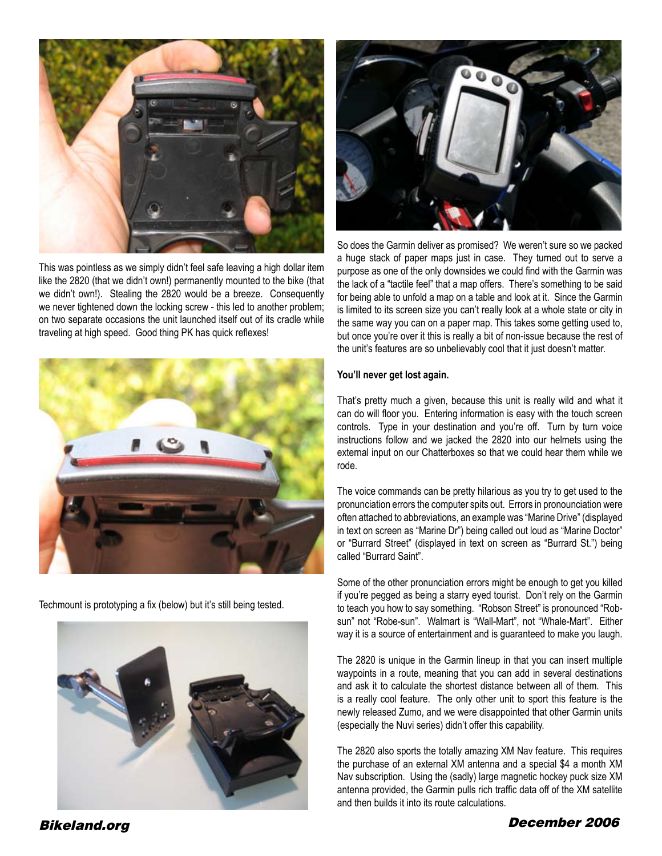

This was pointless as we simply didn't feel safe leaving a high dollar item like the 2820 (that we didn't own!) permanently mounted to the bike (that we didn't own!). Stealing the 2820 would be a breeze. Consequently we never tightened down the locking screw - this led to another problem; on two separate occasions the unit launched itself out of its cradle while traveling at high speed. Good thing PK has quick reflexes!



Techmount is prototyping a fix (below) but it's still being tested.





So does the Garmin deliver as promised? We weren't sure so we packed a huge stack of paper maps just in case. They turned out to serve a purpose as one of the only downsides we could find with the Garmin was the lack of a "tactile feel" that a map offers. There's something to be said for being able to unfold a map on a table and look at it. Since the Garmin is limited to its screen size you can't really look at a whole state or city in the same way you can on a paper map. This takes some getting used to, but once you're over it this is really a bit of non-issue because the rest of the unit's features are so unbelievably cool that it just doesn't matter.

# **You'll never get lost again.**

That's pretty much a given, because this unit is really wild and what it can do will floor you. Entering information is easy with the touch screen controls. Type in your destination and you're off. Turn by turn voice instructions follow and we jacked the 2820 into our helmets using the external input on our Chatterboxes so that we could hear them while we rode.

The voice commands can be pretty hilarious as you try to get used to the pronunciation errors the computer spits out. Errors in pronounciation were often attached to abbreviations, an example was "Marine Drive" (displayed in text on screen as "Marine Dr") being called out loud as "Marine Doctor" or "Burrard Street" (displayed in text on screen as "Burrard St.") being called "Burrard Saint".

Some of the other pronunciation errors might be enough to get you killed if you're pegged as being a starry eyed tourist. Don't rely on the Garmin to teach you how to say something. "Robson Street" is pronounced "Robsun" not "Robe-sun". Walmart is "Wall-Mart", not "Whale-Mart". Either way it is a source of entertainment and is guaranteed to make you laugh.

The 2820 is unique in the Garmin lineup in that you can insert multiple waypoints in a route, meaning that you can add in several destinations and ask it to calculate the shortest distance between all of them. This is a really cool feature. The only other unit to sport this feature is the newly released Zumo, and we were disappointed that other Garmin units (especially the Nuvi series) didn't offer this capability.

The 2820 also sports the totally amazing XM Nav feature. This requires the purchase of an external XM antenna and a special \$4 a month XM Nav subscription. Using the (sadly) large magnetic hockey puck size XM antenna provided, the Garmin pulls rich traffic data off of the XM satellite and then builds it into its route calculations.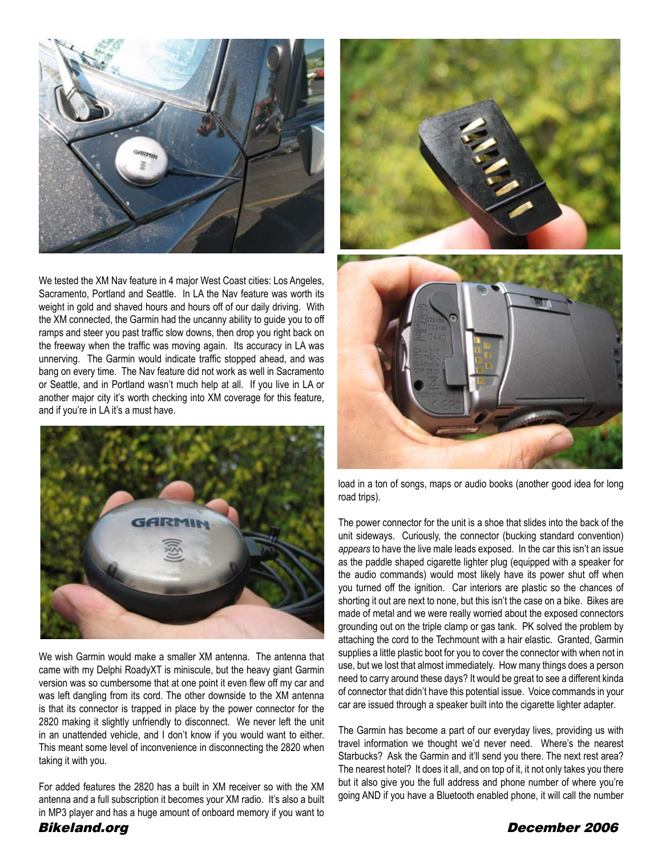

We tested the XM Nav feature in 4 major West Coast cities: Los Angeles, Sacramento, Portland and Seattle. In LA the Nav feature was worth its weight in gold and shaved hours and hours off of our daily driving. With the XM connected, the Garmin had the uncanny ability to guide you to off ramps and steer you past traffic slow downs, then drop you right back on the freeway when the traffic was moving again. Its accuracy in LA was unnerving. The Garmin would indicate traffic stopped ahead, and was bang on every time. The Nav feature did not work as well in Sacramento or Seattle, and in Portland wasn't much help at all. If you live in LA or another major city it's worth checking into XM coverage for this feature, and if you're in LA it's a must have.



We wish Garmin would make a smaller XM antenna. The antenna that came with my Delphi RoadyXT is miniscule, but the heavy giant Garmin version was so cumbersome that at one point it even flew off my car and was left dangling from its cord. The other downside to the XM antenna is that its connector is trapped in place by the power connector for the 2820 making it slightly unfriendly to disconnect. We never left the unit in an unattended vehicle, and I don't know if you would want to either. This meant some level of inconvenience in disconnecting the 2820 when taking it with you.

For added features the 2820 has a built in XM receiver so with the XM antenna and a full subscription it becomes your XM radio. It's also a built in MP3 player and has a huge amount of onboard memory if you want to



load in a ton of songs, maps or audio books (another good idea for long road trips).

The power connector for the unit is a shoe that slides into the back of the unit sideways. Curiously, the connector (bucking standard convention) *appears* to have the live male leads exposed. In the car this isn't an issue as the paddle shaped cigarette lighter plug (equipped with a speaker for the audio commands) would most likely have its power shut off when you turned off the ignition. Car interiors are plastic so the chances of shorting it out are next to none, but this isn't the case on a bike. Bikes are made of metal and we were really worried about the exposed connectors grounding out on the triple clamp or gas tank. PK solved the problem by attaching the cord to the Techmount with a hair elastic. Granted, Garmin supplies a little plastic boot for you to cover the connector with when not in use, but we lost that almost immediately. How many things does a person need to carry around these days? It would be great to see a different kinda of connector that didn't have this potential issue. Voice commands in your car are issued through a speaker built into the cigarette lighter adapter.

The Garmin has become a part of our everyday lives, providing us with travel information we thought we'd never need. Where's the nearest Starbucks? Ask the Garmin and it'll send you there. The next rest area? The nearest hotel? It does it all, and on top of it, it not only takes you there but it also give you the full address and phone number of where you're going AND if you have a Bluetooth enabled phone, it will call the number